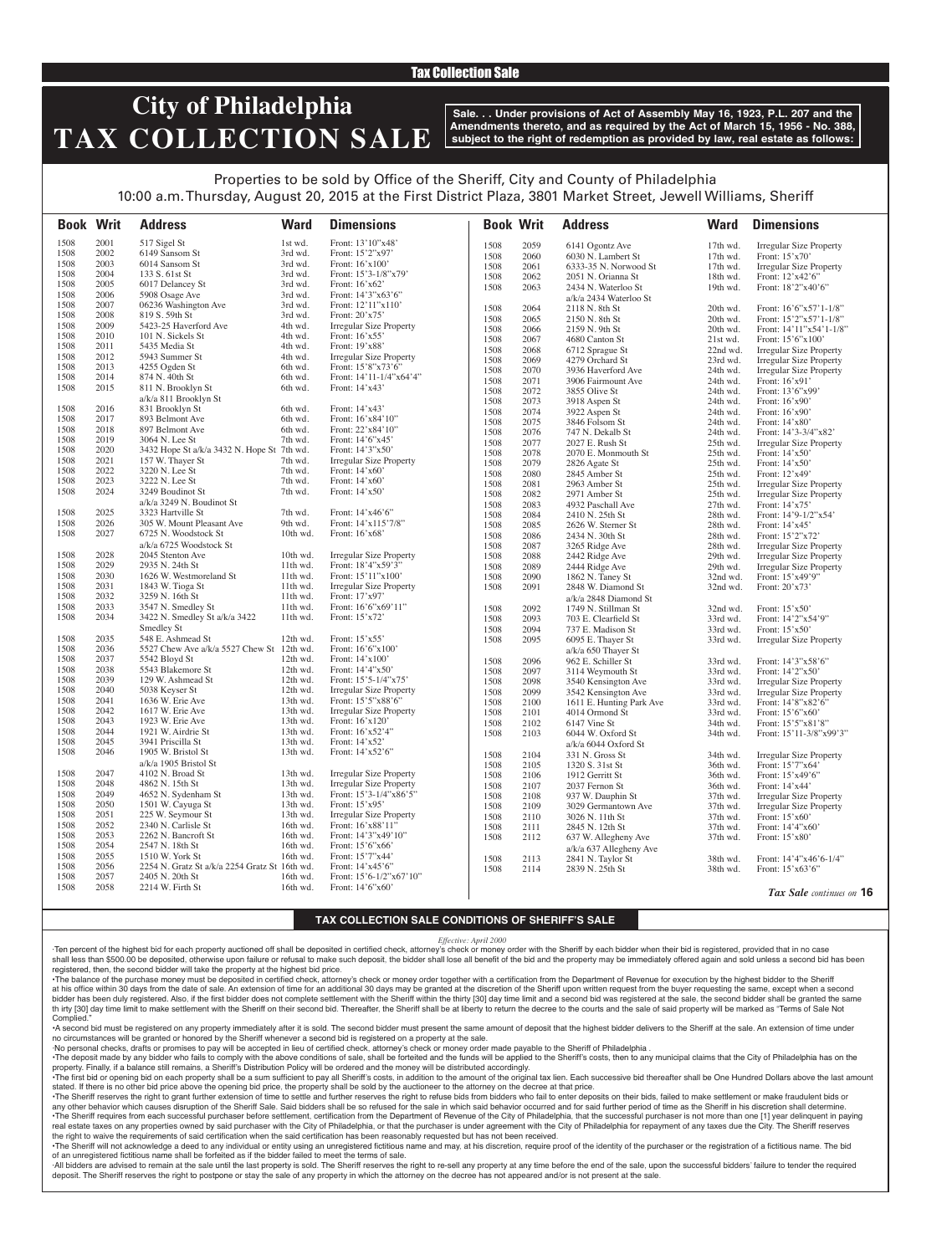### Tax Collection Sale

# **City of Philadelphia TAX COLLECTION SALE**

**Sale. . . Under provisions of Act of Assembly May 16, 1923, P.L. 207 and the Amendments thereto, and as required by the Act of March 15, 1956 - No. 388, subject to the right of redemption as provided by law, real estate as follows:**

## Properties to be sold by Office of the Sheriff, City and County of Philadelphia 10:00 a.m. Thursday, August 20, 2015 at the First District Plaza, 3801 Market Street, Jewell Williams, Sheriff

**Book Writ Address Ward Dimensions Book Writ Address Ward Dimensions** *Tax Sale continues on* **16** 1508 2001 517 Sigel St 1st wd. Front: 13'10"x48'<br>1508 2002 6149 Sansom St 3rd wd. Front: 15'2"x97' 1508 2002 6149 Sansom St 3rd wd.<br>1508 2003 6014 Sansom St 3rd wd. Front: 16'x100' 1508 2004 133 S. 61st St 3rd wd. Front: 15'3-1/8"x79' 1508 2005 6017 Delancey St 3rd wd. Front: 16'x62' 1508 2006 5908 Osage Ave 3rd wd. Front: 14'3"x63'6"<br>1508 2007 06236 Washington Ave 3rd wd. Front: 12'11"x110" 1508 2007 06236 Washington Ave 3rd wd. Front: 12'11"<br>1508 2008 819 S. 59th St 3rd wd. Front: 20'x75 1508 2008 819 S. 59th St 3rd wd.<br>1508 2009 5423-25 Haverford Ave 4th wd. 1508 2009 5423-25 Haverford Ave 4th wd. Irregular Size Property<br>1508 2010 101 N. Sickels St 4th wd. Front: 16'x55' 1508 2010 101 N. Sickels St 4th wd. Front: 16'x55'<br>1508 2011 5435 Media St 4th wd. Front: 19'x88' 1508 2011 5435 Media St 4th wd<br>1508 2012 5943 Summer St 4th wd 1508 2012 5943 Summer St 4th wd. Irregular Size Property<br>1508 2013 4255 Ogden St 6th wd. Front: 15'8"x73'6" 1508 2013 4255 Ogden St 6th wd. Front: 15'8"x73'6"<br>1508 2014 874 N. 40th St 6th wd. Front: 14'11-1/4"x 1508 2014 874 N. 40th St 6th wd. Front: 14'11-1/4"x64'4"<br>1508 2015 811 N. Brooklyn St 6th wd. Front: 14'x43' 811 N. Brooklyn St a/k/a 811 Brooklyn St Front: 14'x43' 1508 2016 831 Brooklyn St 6th wd. Front: 14'x43'<br>1508 2017 893 Belmont Ave 6th wd. Front: 16'x84' 1508 2017 893 Belmont Ave 6th wd. Front: 16'x84'10"<br>1508 2018 897 Belmont Ave 6th wd. Front: 22'x84'10" 1508 2018 897 Belmont Ave 6th wd.<br>1508 2019 3064 N. Lee St 7th wd. 1508 2019 3064 N. Lee St 7th wd. Front: 14'6"x45'<br>1508 2020 3432 Hope St a/k/a 3432 N. Hope St 7th wd. Front: 14'3"x50" 1508 2020 3432 Hope St a/k/a 3432 N. Hope St 7th wd.<br>1508 2021 157 W. Thayer St 7th wd. 1508 2021 157 W. Thayer St 7th wd. Irregular Size Property<br>1508 2022 3220 N. Lee St 7th wd. Front: 14'x60' 1508 2022 3220 N. Lee St 7th wd. Front: 14'x60'<br>1508 2023 3222 N. Lee St 7th wd. Front: 14'x60' 1508 2023 3222 N. Lee St 7th wd.<br>1508 2024 3249 Boudinot St 7th wd. 3249 Boudinot St a/k/a 3249 N. Boudinot St Front: 14'x50' 1508 2025 3323 Hartville St 7th wd. Front: 14'x46'6"<br>1508 2026 305 W. Mount Pleasant Ave 9th wd. Front: 14'x115'7/8" 1508 2026 305 W. Mount Pleasant Ave 9th wd.<br>1508 2027 6725 N. Woodstock St 10th wd. 6725 N. Woodstock St a/k/a 6725 Woodstock St Front: 16'x68' 1508 2028 2045 Stenton Ave 10th wd. Irregular Size Property<br>1508 2029 2935 N. 24th St 11th wd. Front: 18'4"x59'3" 1508 2029 2935 N. 24th St 11th wd. Front: 18'4"x59'3"<br>1508 2030 1626 W. Westmoreland St 11th wd. Front: 15'11"x100" 1508 2030 1626 W. Westmoreland St 11th wd.<br>1508 2031 1843 W. Tioga St 11th wd. 1508 2031 1843 W. Tioga St 11th wd. Irregular Size Property 1508 2032 3259 N. 16th St 11th wd.<br>1508 2033 3547 N. Smedley St 11th wd. 1508 2033 3547 N. Smedley St 11th wd. Front: 16'6"x69'11" 3422 N. Smedley St a/k/a 3422 Smedley St 11th wd. Front: 15'x72' 1508 2035 548 E. Ashmead St 12th wd. Front: 15'x55' 1508 2036 5527 Chew Ave a/k/a 5527 Chew St 12th wd. Front: 16'6"x100" 1508 2036 5527 Chew Ave a/k/a 5527 Chew St 12th wd. Front: 16'6"x100' 1508 2037 5542 Bloyd St 12th wd. Front: 14'x100' 1508 2038 5543 Blakemore St 12th wd.<br>1508 2039 129 W. Ashmead St 12th wd. 1508 2039 129 W. Ashmead St 12th wd. Front: 15'5-1/4"x75' 1508 2040 5038 Keyser St 12th wd. Irregular Size Property<br>1508 2041 1636 W. Erie Ave 13th wd. Front: 15'5"x88'6" 1508 2041 1636 W. Erie Ave 13th wd. Front: 15'5"x88'6<br>1508 2042 1617 W. Erie Ave 13th wd. Irregular Size Prop 1508 2042 1617 W. Erie Ave 13th wd. Irregular Size Property<br>1508 2043 1923 W. Erie Ave 13th wd. Front: 16'x120' 1508 2043 1923 W. Erie Ave 13th wd. Front: 16'x120' 1508 2044 1921 W. Airdrie St 13th wd. Front: 16'x52'<br>1508 2045 3941 Priscilla St 13th wd. Front: 14'x52' 1508 2045 3941 Priscilla St 13th wd.<br>1508 2046 1905 W. Bristol St 13th wd. 1905 W. Bristol St a/k/a 1905 Bristol St 13th wd. Front: 14'x52'6" 1508 2047 4102 N. Broad St 13th wd. Irregular Size Property<br>1508 2048 4862 N. 15th St 13th wd. Irregular Size Property 1508 2048 4862 N. 15th St 13th wd. Irregular Size Property<br>1508 2049 4652 N. Sydenham St 13th wd. Front: 15'3-1/4"x86'5" 1508 2049 4652 N. Sydenham St 13th wd. Front: 15'3-1/4"x86'5" 1508 2050 1501 W. Cayuga St 13th wd.<br>1508 2051 225 W. Seymour St 13th wd. 1508 2051 225 W. Seymour St 13th wd. Irregular Size Property<br>1508 2052 2340 N. Carlisle St 16th wd. Front: 16'x88'11" 1508 2052 2340 N. Carlisle St 16th wd. Front: 16'x88'11'<br>1508 2053 2262 N. Bancroft St 16th wd. Front: 14'3"x49' Front: 14'3"x49'10" 1508 2054 2547 N. 18th St 16th wd. Front: 15'6"x66' 1508 2055 1510 W. York St 16th wd. Front: 15'7"x44'<br>1508 2056 2254 N. Gratz St a/k/a 2254 Gratz St 16th wd. Front: 14'x45'6" 1508 2056 2254 N. Gratz St a/k/a 2254 Gratz St 16th wd. 1508 2057 2405 N. 20th St 16th wd. Front: 15'6-1/2"x67'10"<br>1508 2058 2214 W. Firth St 16th wd. Front: 14'6"x60" 16th wd. Front:  $14'6''x60'$ 1508 2059 6141 Ogontz Ave 17th wd. Irregular Size Property 1508 2060 6030 N. Lambert St 17th wd. Front: 15'x70'<br>1508 2061 6333-35 N. Norwood St 17th wd. Irregular Size 1508 2061 6333-35 N. Norwood St 17th wd. Irregular Size Property<br>1508 2062 2051 N. Orianna St 18th wd. Front: 12'x42'6" 1508 2062 2051 N. Orianna St 18th wd.<br>1508 2063 2434 N. Waterloo St 19th wd. 2434 N. Waterloo St a/k/a 2434 Waterloo St<br>2118 N. 8th St Front: 18'2"x40'6" 1508 2064 2118 N. 8th St 20th wd. Front: 16'6"x57'1-1/8"<br>1508 2065 2150 N. 8th St 20th wd. Front: 15'2"x57'1-1/8" 1508 2065 2150 N. 8th St 20th wd. Front: 15'2"x57'1-1/8" 1508 2066 2159 N. 9th St 20th wd. Front: 14'11"x54'1-1/8" 1508 2067 4680 Canton St 21st wd. Front: 15'6"x100' 1508 2068 6712 Sprague St 22nd wd. Irregular Size Property 1508 2069 4279 Orchard St 23rd wd. Irregular Size Property<br>1508 2070 3936 Haverford Ave 24th wd. Irregular Size Property 1508 2070 3936 Haverford Ave 24th wd. Irregular Size Property<br>1508 2071 3906 Fairmount Ave 24th wd. Front: 16'x91' 1508 2071 3906 Fairmount Ave 24th wd.<br>1508 2072 3855 Olive St 24th wd. 1508 2072 3855 Olive St 24th wd. Front: 13'6"x99' 1508 2073 3918 Aspen St 24th wd. Front: 16'x90' 1508 2074 3922 Aspen St 24th wd. Front: 16'x90' 1508 2075 3846 Folsom St 24th wd.<br>1508 2076 747 N. Dekalb St 24th wd. 1508 2076 747 N. Dekalb St 24th wd. Front: 14'3-3/4"x82' 1508 2077 2027 E. Rush St 25th wd. Irregular Size Property<br>1508 2078 2070 E. Monmouth St 25th wd. Front: 14'x50' 1508 2078 2070 E. Monmouth St 25th wd. Front: 14'x50' 1508 2079 2826 Agate St 25th wd. Front: 14'x50' 1508 2080 2845 Amber St 25th wd.<br>1508 2081 2963 Amber St 25th wd. 1508 2081 2963 Amber St 25th wd. Irregular Size Property 1508 2082 2971 Amber St 25th wd. Irregular Size Property<br>1508 2083 4932 Paschall Ave 27th wd. Front: 14'x75' 1508 2083 4932 Paschall Ave 27th wd.<br>1508 2084 2410 N. 25th St 28th wd. 1508 2084 2410 N. 25th St 28th wd. Front: 14'9-1/2"x54'<br>1508 2085 2626 W. Sterner St 28th wd. Front: 14'x45' 1508 2085 2626 W. Sterner St 28th wd.<br>1508 2086 2434 N. 30th St 28th wd. 1508 2086 2434 N. 30th St 28th wd. Front: 15'2"x72' Irregular Size Property 1508 2088 2442 Ridge Ave 29th wd. Irregular Size Property 1508 2089 2444 Ridge Ave 29th wd. Irregular Size Property<br>1508 2090 1862 N. Tanev St 32nd wd. Front: 15'x49'9" 1508 2090 1862 N. Taney St 32nd wd. 1508 2091 2848 W. Diamond St a/k/a 2848 Diamond St 32nd wd. Front: 20'x73' 1508 2092 1749 N. Stillman St 32nd wd. Front: 15'x50'<br>1508 2093 703 E. Clearfield St 33rd wd. Front: 14'2"x54'9" 1508 2093 703 E. Clearfield St 33rd wd. 1508 2094 737 E. Madison St 33rd wd. Front: 15'x50' 1508 2095 6095 E. Thayer St a/k/a 650 Thayer St<br>962 E. Schiller St 33rd wd. Irregular Size Property 1508 2096 962 E. Schiller St 33rd wd. Front: 14'3"x58'6"<br>1508 2097 3114 Weymouth St 33rd wd. Front: 14'2"x50" 3114 Weymouth St 1508 2098 3540 Kensington Ave 33rd wd. Irregular Size Property 1508 2099 3542 Kensington Ave 33rd wd. Irregular Size Property<br>1508 2100 1611 E. Hunting Park Ave 33rd wd. Front: 14'8"x82'6" 1508 2100 1611 E. Hunting Park Ave 33rd wd. Front: 14'8"x82'6" 1508 2101 4014 Ormond St 33rd wd. Front: 15'6"x60"<br>1508 2102 6147 Vine St 34th wd. Front: 15'5"x81" 1508 2102 6147 Vine St 34th wd. Front: 15'5"x81'8"<br>1508 2103 6044 W. Oxford St 34th wd. Front: 15'11-3/8"x 6044 W. Oxford St  $a/k/a$  6044 Oxford St<br>331 N. Gross St Front: 15'11-3/8"x99'3" 1508 2104 331 N. Gross St 34th wd. Irregular Size Property<br>1508 2105 1320 S. 31st St 36th wd. Front: 15'7"x64' 1508 2105 1320 S. 31st St 36th wd. Front: 15'7"x64' 1508 2106 1912 Gerritt St 36th wd. Front: 15'x49'6"<br>1508 2107 2037 Fernon St 36th wd. Front: 14'x44' 1508 2107 2037 Fernon St 36th wd.<br>1508 2108 937 W. Dauphin St 37th wd. 1508 2108 937 W. Dauphin St 37th wd. Irregular Size Property<br>1508 2109 3029 Germantown Ave 37th wd. Irregular Size Property 1508 2109 3029 Germantown Ave 37th wd. Irregular Size Property<br>1508 2110 3026 N. 11th St 37th wd. Front: 15'x60' 1508 2110 3026 N. 11th St<br>1508 2111 2845 N. 12th St 1508 2111 2845 N. 12th St 37th wd. Front: 14'4"x60'<br>1508 2112 637 W. Allegheny Ave 37th wd. Front: 15'x80' 637 W. Allegheny Ave a/k/a 637 Allegheny Ave<br>2841 N. Taylor St 37th wd. Front: 15'x80' 1508 2113 2841 N. Taylor St 38th wd. Front: 14'4"x46'6-1/4" 1508 2114 2839 N. 25th St 38th wd. Front: 15'x63'6"

### **TAX COLLECTION SALE CONDITIONS OF SHERIFF'S SALE**

#### *Effective: April 2000*

·Ten percent of the highest bid for each property auctioned off shall be deposited in certified check, attorney's check or money order with the Sheriff by each bidder when their bid is registered, provided that in no case shall less than \$500.00 be deposited, otherwise upon failure or refusal to make such deposit, the bidder shall lose all benefit of the bid and the property may be immediately offered again and sold unless a second bid has registered, then, the second bidder will take the property at the highest bid price.

•The balance of the purchase money must be deposited in certified check, attorney's check or money order together with a certification from the Department of Revenue for execution by the highest bidder to the Sheriff at his office within 30 days from the date of sale. An extension of time for an additional 30 days may be granted at the discretion of the Sheriff upon written request from the buyer requesting the same, except when a seco bidder has been duly registered. Also, if the first bidder does not complete settlement with the Sheriff within the thirty [30] day time limit and a second bid was registered at the sale, the second bidder shall be granted th irty [30] day time limit to make settlement with the Sheriff on their second bid. Thereafter, the Sheriff shall be at liberty to return the decree to the courts and the sale of said property will be marked as "Terms of Complied.

•A second bid must be registered on any property immediately after it is sold. The second bidder must present the same amount of deposit that the highest bidder delivers to the Sheriff at the sale. An extension of time under no circumstances will be granted or honored by the Sheriff whenever a second bid is registered on a property at the sale.

·No personal checks, drafts or promises to pay will be accepted in lieu of certified check, attorney's check or money order made payable to the Sheriff of Philadelphia . . The deposit made by any bidder who fails to comply with the above conditions of sale, shall be forteited and the funds will be applied to the Sheriff's costs, then to any municipal claims that the City of Philadelphia ha

property. Finally, if a balance still remains, a Sheriff's Distribution Policy will be ordered and the money will be distributed accordingly. The first bid or opening bid on each property shall be a sum sufficient to pay all Sheriff's costs, in addition to the amount of the original tax lien. Each successive bid thereafter shall be One Hundred Dollars above the

stated. If there is no other bid price above the opening bid price, the property shall be sold by the auctioneer to the attorney on the decree at that price. . The Sheriff reserves the right to grant further extension of time to settle and further reserves the right to refuse bids from bidders who fail to enter deposits on their bids, failed to make settlement or make fraudulen any other behavior which causes disruption of the Sheriff Sale. Said bidders shall be so refused for the sale in which said behavior occurred and for said further period of time as the Sheriff in his discretion shall deter . The Sheriff requires from each successful purchaser before settlement, certification from the Department of Revenue of the City of Philadelphia, that the successful purchaser is not more than one [1] year delinguent in p real estate taxes on any properties owned by said purchaser with the City of Philadelphia, or that the purchaser is under agreement with the City of Philadelphia for repayment of any taxes due the City. The Sheriff reserves the right to waive the requirements of said certification when the said certification has been reasonably requested but has not been received.

. The Sheriff will not acknowledge a deed to any individual or entity using an unregistered fictitious name and may, at his discretion, require proof of the identity of the purchaser or the registration of a fictitious nam of an unregistered fictitious name shall be forfeited as if the bidder failed to meet the terms of sale.

All bidders are advised to remain at the sale until the last property is sold. The Sheriff reserves the right to re-sell any property at any time before the end of the sale, upon the successful bidders' failure to tender t deposit. The Sheriff reserves the right to postpone or stay the sale of any property in which the attorney on the decree has not appeared and/or is not present at the sale.